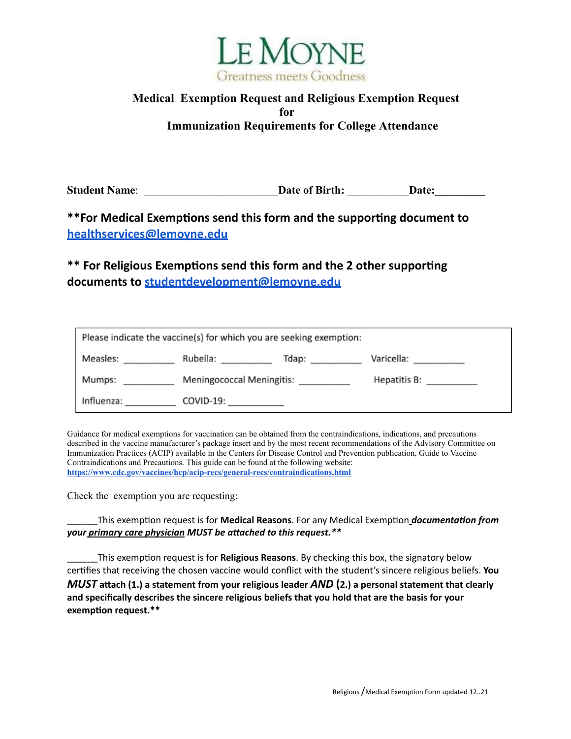

## **Medical Exemption Request and Religious Exemption Request for Immunization Requirements for College Attendance**

**Student Name:**  $\qquad \qquad$  **Date of Birth:**  $\qquad \qquad$  **Date:** 

 $*$ **\*For** Medical Exemptions send this form and the supporting document to **[healthservices@lemoyne.edu](mailto:healthservices@lemoyne.edu)**

 $*$  **For Religious Exemptions send this form and the 2 other supporting documents to [studentdevelopment@lemoyne.edu](mailto:studentdevelopment@lemoyne.edu)**

| Please indicate the vaccine(s) for which you are seeking exemption: |                                                        |                  |                          |  |  |
|---------------------------------------------------------------------|--------------------------------------------------------|------------------|--------------------------|--|--|
|                                                                     |                                                        | Tdap: __________ | Varicella: __________    |  |  |
| Mumps:<br><u>a sa mga sa</u>                                        | Meningococcal Meningitis: __________                   |                  | Hepatitis B: ___________ |  |  |
|                                                                     | Influenza: _________________ COVID-19: _______________ |                  |                          |  |  |

Guidance for medical exemptions for vaccination can be obtained from the contraindications, indications, and precautions described in the vaccine manufacturer's package insert and by the most recent recommendations of the Advisory Committee on Immunization Practices (ACIP) available in the Centers for Disease Control and Prevention publication, Guide to Vaccine Contraindications and Precautions. This guide can be found at the following website: **<https://www.cdc.gov/vaccines/hcp/acip-recs/general-recs/contraindications.html>**

Check the exemption you are requesting:

\_\_\_\_\_\_This exempon request is for **Medical Reasons**. For any Medical Exempon *documentaon from your primary care physician MUST be aached to this request.\*\**

\_\_\_\_\_\_This exempon request is for **Religious Reasons**. By checking this box, the signatory below cerfies that receiving the chosen vaccine would conflict with the student's sincere religious beliefs. **You** *MUST* **attach (1.)** a statement from your religious leader *AND* (2.) a personal statement that clearly **and specifically describes the sincere religious beliefs that you hold that are the basis for your exemption request.\*\***